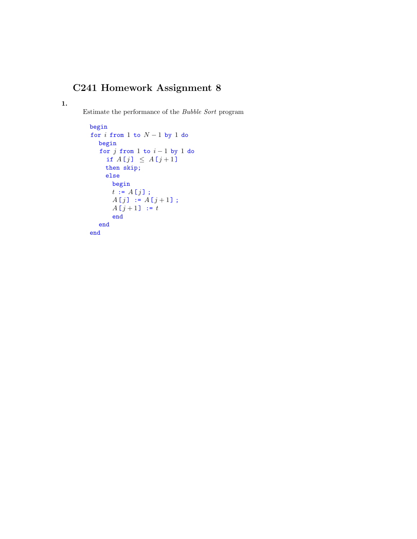## C241 Homework Assignment 8

1.

Estimate the performance of the Bubble Sort program

```
begin
for i from 1 to N-1 by 1 do
  begin
  for j from 1 to i - 1 by 1 do
    if A[j] \leq A[j+1]then skip;
    else
      begin
     t := A[j];
      A[j] := A[j+1];
      A[j + 1] := tend
  end
end
```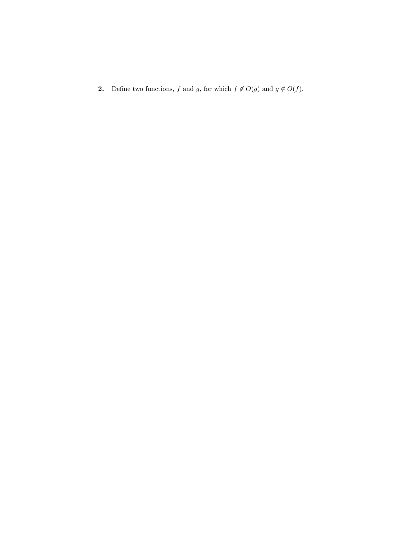2. Define two functions,  $f$  and  $g$ , for which  $f \notin O(g)$  and  $g \notin O(f)$ .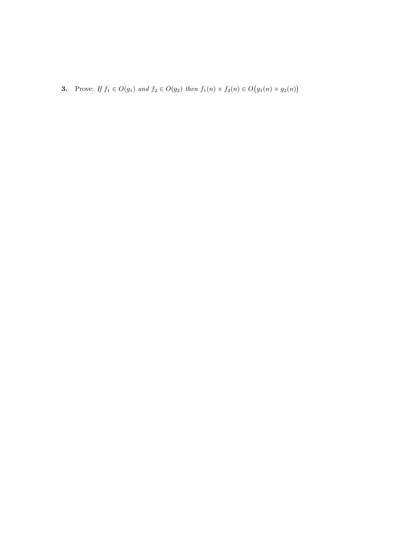**3.** Prove: If  $f_1 \in O(g_1)$  and  $f_2 \in O(g_2)$  then  $f_1(n) \times f_2(n) \in O(g_1(n) \times g_2(n))$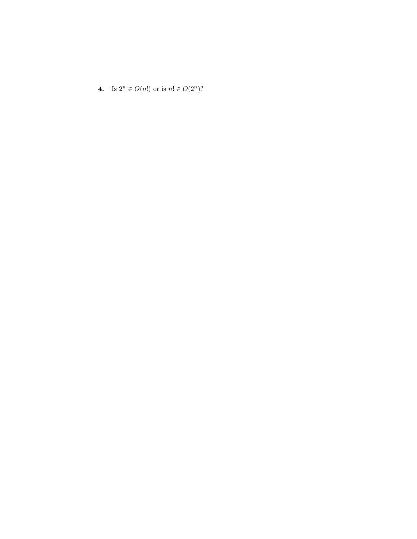4. Is  $2^n \in O(n!)$  or is  $n! \in O(2^n)$ ?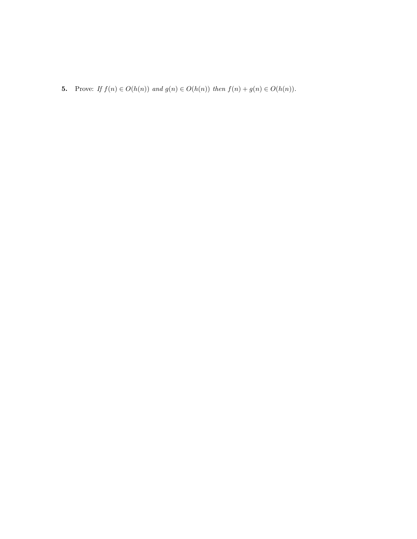5. Prove: If  $f(n) \in O(h(n))$  and  $g(n) \in O(h(n))$  then  $f(n) + g(n) \in O(h(n))$ .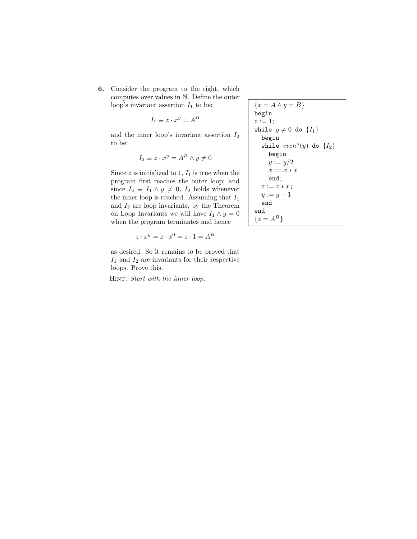6. Consider the program to the right, which computes over values in N. Define the outer loop's invariant assertion  $I_1$  to be:

$$
I_1 \equiv z \cdot x^y = A^B
$$

and the inner loop's invariant assertion  $\mathcal{I}_2$ to be:

$$
I_2 \equiv z \cdot x^y = A^B \wedge y \neq 0
$$

Since  $z$  is initialized to 1,  $I_1$  is true when the program first reaches the outer loop; and since  $I_2 \equiv I_1 \wedge y \neq 0$ ,  $I_2$  holds whenever the inner loop is reached. Assuming that  $\mathcal{I}_1$ and  $I_2$  are loop invariants, by the Theorem on Loop Invariants we will have  $I_1 \wedge y = 0$ when the program terminates and hence

$$
z \cdot x^y = z \cdot x^0 = z \cdot 1 = A^B
$$

as desired. So it remains to be proved that  $I_1$  and  $I_2$  are invariants for their respective loops. Prove this.

HINT. Start with the inner loop.

$$
\{x = A \land y = B\}
$$
\nbegin\nbegin{aligned}\n& x := 1; \\
& x := 1; \\
& y \neq 0 \text{ do } \{I\_1\} \\
& y \neq 0 \text{ do } \{I\_2\} \\
& y := y/2 \\
& x := x \* x \\
& y := y - 1 \\
& y := y - 1 \\
& y := y - 1 \\
& y & y = 1\n\end{aligned}